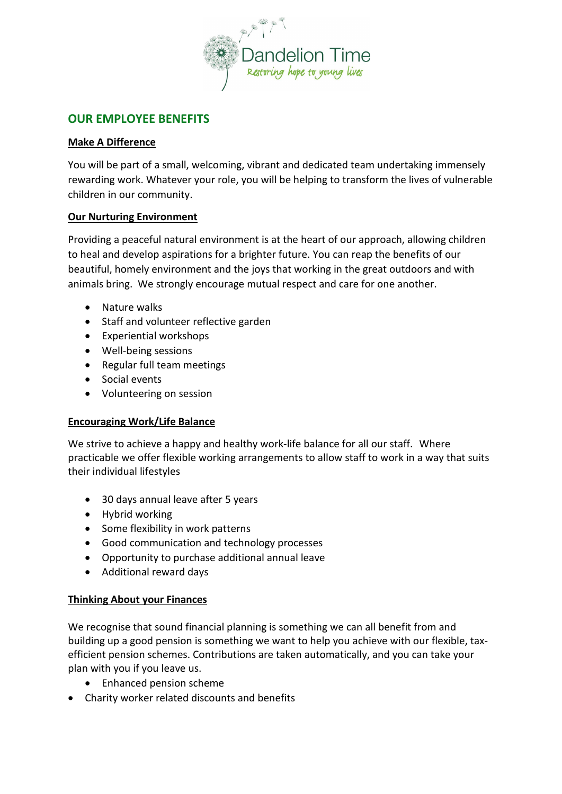

# **OUR EMPLOYEE BENEFITS**

#### **Make A Difference**

You will be part of a small, welcoming, vibrant and dedicated team undertaking immensely rewarding work. Whatever your role, you will be helping to transform the lives of vulnerable children in our community.

### **Our Nurturing Environment**

Providing a peaceful natural environment is at the heart of our approach, allowing children to heal and develop aspirations for a brighter future. You can reap the benefits of our beautiful, homely environment and the joys that working in the great outdoors and with animals bring. We strongly encourage mutual respect and care for one another.

- Nature walks
- Staff and volunteer reflective garden
- Experiential workshops
- Well-being sessions
- Regular full team meetings
- Social events
- Volunteering on session

# **Encouraging Work/Life Balance**

We strive to achieve a happy and healthy work-life balance for all our staff. Where practicable we offer flexible working arrangements to allow staff to work in a way that suits their individual lifestyles

- 30 days annual leave after 5 years
- Hybrid working
- Some flexibility in work patterns
- Good communication and technology processes
- Opportunity to purchase additional annual leave
- Additional reward days

# **Thinking About your Finances**

We recognise that sound financial planning is something we can all benefit from and building up a good pension is something we want to help you achieve with our flexible, taxefficient pension schemes. Contributions are taken automatically, and you can take your plan with you if you leave us.

- Enhanced pension scheme
- Charity worker related discounts and benefits